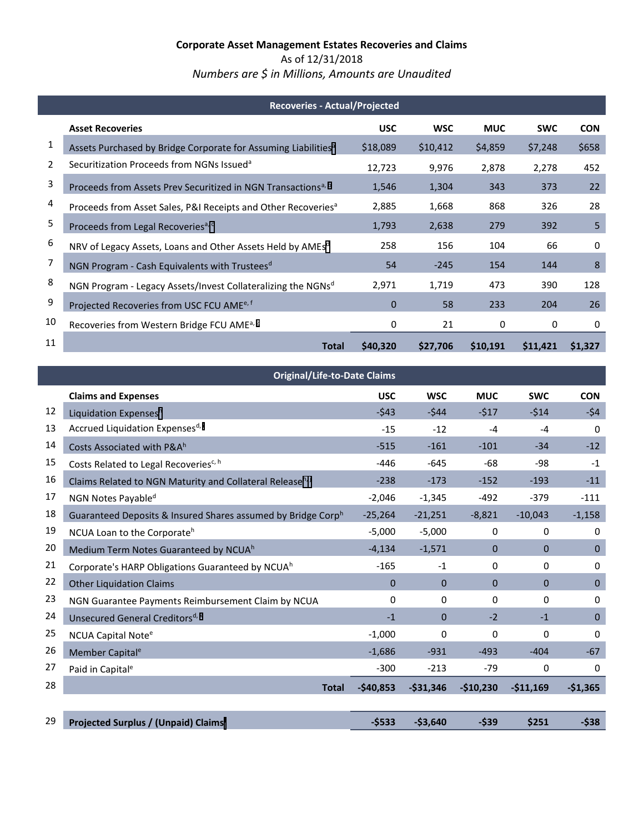As of 12/31/2018 *Numbers are \$ in Millions, Amounts are Unaudited*

|    | <b>Recoveries - Actual/Projected</b>                                       |            |            |            |            |            |  |  |
|----|----------------------------------------------------------------------------|------------|------------|------------|------------|------------|--|--|
|    | <b>Asset Recoveries</b>                                                    | <b>USC</b> | <b>WSC</b> | <b>MUC</b> | <b>SWC</b> | <b>CON</b> |  |  |
| 1  | Assets Purchased by Bridge Corporate for Assuming Liabilities <sup>a</sup> | \$18,089   | \$10,412   | \$4,859    | \$7,248    | \$658      |  |  |
| 2  | Securitization Proceeds from NGNs Issued <sup>a</sup>                      | 12,723     | 9,976      | 2,878      | 2,278      | 452        |  |  |
| 3  | Proceeds from Assets Prev Securitized in NGN Transactions <sup>a, b</sup>  | 1,546      | 1,304      | 343        | 373        | 22         |  |  |
| 4  | Proceeds from Asset Sales, P&I Receipts and Other Recoveries <sup>a</sup>  | 2,885      | 1,668      | 868        | 326        | 28         |  |  |
| 5  | Proceeds from Legal Recoveries <sup>a, c</sup>                             | 1,793      | 2,638      | 279        | 392        | 5          |  |  |
| 6  | NRV of Legacy Assets, Loans and Other Assets Held by AMEsd                 | 258        | 156        | 104        | 66         | 0          |  |  |
| 7  | NGN Program - Cash Equivalents with Trustees <sup>d</sup>                  | 54         | $-245$     | 154        | 144        | 8          |  |  |
| 8  | NGN Program - Legacy Assets/Invest Collateralizing the NGNsd               | 2,971      | 1,719      | 473        | 390        | 128        |  |  |
| 9  | Projected Recoveries from USC FCU AME <sup>e, f</sup>                      | $\Omega$   | 58         | 233        | 204        | 26         |  |  |
| 10 | Recoveries from Western Bridge FCU AME <sup>a, g</sup>                     | 0          | 21         | 0          | 0          | 0          |  |  |
| 11 | <b>Total</b>                                                               | \$40,320   | \$27,706   | \$10,191   | \$11,421   | \$1,327    |  |  |

<span id="page-0-0"></span>

|    | <b>Original/Life-to-Date Claims</b>                                   |            |            |              |            |              |
|----|-----------------------------------------------------------------------|------------|------------|--------------|------------|--------------|
|    | <b>Claims and Expenses</b>                                            | <b>USC</b> | <b>WSC</b> | <b>MUC</b>   | <b>SWC</b> | <b>CON</b>   |
| 12 | Liquidation Expensesh                                                 | $-543$     | $-544$     | $-517$       | $-514$     | $-54$        |
| 13 | Accrued Liquidation Expensesd, i                                      | $-15$      | $-12$      | $-4$         | $-4$       | 0            |
| 14 | Costs Associated with P&A <sup>h</sup>                                | $-515$     | $-161$     | $-101$       | $-34$      | $-12$        |
| 15 | Costs Related to Legal Recoveries <sup>c, h</sup>                     | $-446$     | $-645$     | $-68$        | $-98$      | $-1$         |
| 16 | Claims Related to NGN Maturity and Collateral Release <sup>h, j</sup> | $-238$     | $-173$     | $-152$       | $-193$     | $-11$        |
| 17 | NGN Notes Payable <sup>d</sup>                                        | $-2,046$   | $-1,345$   | $-492$       | $-379$     | $-111$       |
| 18 | Guaranteed Deposits & Insured Shares assumed by Bridge Corph          | $-25,264$  | $-21,251$  | $-8,821$     | $-10,043$  | $-1,158$     |
| 19 | NCUA Loan to the Corporate <sup>h</sup>                               | $-5,000$   | $-5,000$   | 0            | 0          | 0            |
| 20 | Medium Term Notes Guaranteed by NCUA <sup>h</sup>                     | $-4,134$   | $-1,571$   | 0            | 0          | $\mathbf{0}$ |
| 21 | Corporate's HARP Obligations Guaranteed by NCUA <sup>h</sup>          | $-165$     | $-1$       | 0            | 0          | $\Omega$     |
| 22 | <b>Other Liquidation Claims</b>                                       | $\Omega$   | $\Omega$   | $\mathbf{0}$ | $\Omega$   | $\mathbf{0}$ |
| 23 | NGN Guarantee Payments Reimbursement Claim by NCUA                    | 0          | 0          | 0            | $\Omega$   | $\mathbf 0$  |
| 24 | Unsecured General Creditors <sup>d, k</sup>                           | $-1$       | $\Omega$   | $-2$         | $-1$       | $\mathbf{0}$ |
| 25 | NCUA Capital Note <sup>e</sup>                                        | $-1,000$   | 0          | 0            | 0          | 0            |
| 26 | Member Capital <sup>e</sup>                                           | $-1,686$   | $-931$     | $-493$       | $-404$     | $-67$        |
| 27 | Paid in Capital <sup>e</sup>                                          | $-300$     | $-213$     | $-79$        | 0          | 0            |
| 28 | <b>Total</b>                                                          | $-$40,853$ | $-531,346$ | $-$10,230$   | $-511,169$ | $-$1,365$    |
|    |                                                                       |            |            |              |            |              |
| 29 | Projected Surplus / (Unpaid) Claims <sup>1</sup>                      | $-$533$    | $-53,640$  | $-539$       | \$251      | $-538$       |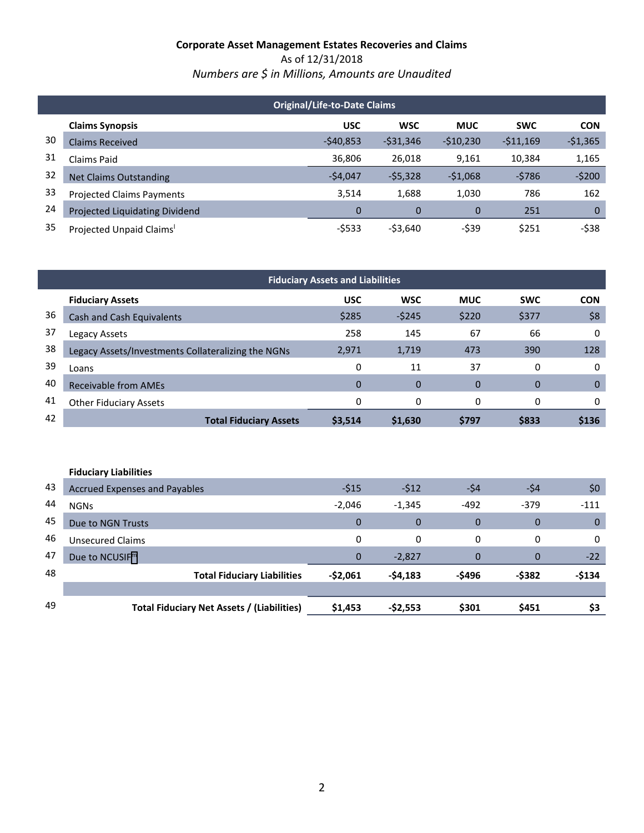As of 12/31/2018 *Numbers are \$ in Millions, Amounts are Unaudited*

| <b>Original/Life-to-Date Claims</b> |                                  |            |            |            |            |             |
|-------------------------------------|----------------------------------|------------|------------|------------|------------|-------------|
|                                     | <b>Claims Synopsis</b>           | <b>USC</b> | <b>WSC</b> | <b>MUC</b> | <b>SWC</b> | <b>CON</b>  |
| 30                                  | <b>Claims Received</b>           | $-540,853$ | $-531,346$ | $-510,230$ | $-511,169$ | $-51,365$   |
| 31                                  | Claims Paid                      | 36,806     | 26,018     | 9,161      | 10,384     | 1,165       |
| 32                                  | <b>Net Claims Outstanding</b>    | $-54,047$  | $-55,328$  | $-51,068$  | $-5786$    | $-5200$     |
| 33                                  | <b>Projected Claims Payments</b> | 3.514      | 1,688      | 1,030      | 786        | 162         |
| 24                                  | Projected Liquidating Dividend   | 0          | 0          | 0          | 251        | $\mathbf 0$ |
| 35                                  | Projected Unpaid Claims'         | $-5533$    | $-53,640$  | -\$39      | \$251      | $-538$      |

| <b>Fiduciary Assets and Liabilities</b> |                                                    |             |            |                |            |            |  |
|-----------------------------------------|----------------------------------------------------|-------------|------------|----------------|------------|------------|--|
|                                         | <b>Fiduciary Assets</b>                            | <b>USC</b>  | <b>WSC</b> | <b>MUC</b>     | <b>SWC</b> | <b>CON</b> |  |
| 36                                      | Cash and Cash Equivalents                          | \$285       | $-5245$    | \$220          | \$377      | \$8        |  |
| 37                                      | Legacy Assets                                      | 258         | 145        | 67             | 66         | 0          |  |
| 38                                      | Legacy Assets/Investments Collateralizing the NGNs | 2,971       | 1,719      | 473            | 390        | 128        |  |
| 39                                      | Loans                                              | 0           | 11         | 37             | 0          | 0          |  |
| 40                                      | <b>Receivable from AMEs</b>                        | $\mathbf 0$ | 0          | $\overline{0}$ | $\Omega$   | $\Omega$   |  |
| 41                                      | <b>Other Fiduciary Assets</b>                      | 0           | 0          | 0              | 0          | 0          |  |
| 42                                      | <b>Total Fiduciary Assets</b>                      | \$3,514     | \$1,630    | \$797          | \$833      | \$136      |  |

|    | <b>Fiduciary Liabilities</b>               |              |             |        |                |             |  |  |
|----|--------------------------------------------|--------------|-------------|--------|----------------|-------------|--|--|
| 43 | <b>Accrued Expenses and Payables</b>       | $-515$       | $-512$      | -\$4   | -\$4           | \$0         |  |  |
| 44 | <b>NGNs</b>                                | $-2,046$     | $-1,345$    | $-492$ | $-379$         | $-111$      |  |  |
| 45 | Due to NGN Trusts                          | $\Omega$     | $\mathbf 0$ | 0      | $\overline{0}$ | $\mathbf 0$ |  |  |
| 46 | <b>Unsecured Claims</b>                    | $\mathbf{0}$ | $\Omega$    | 0      | 0              | 0           |  |  |
| 47 | Due to NCUSIF <sup>m</sup>                 | $\mathbf{0}$ | $-2,827$    | 0      | 0              | $-22$       |  |  |
| 48 | <b>Total Fiduciary Liabilities</b>         | $-52,061$    | $-54,183$   | -\$496 | -\$382         | $-$134$     |  |  |
|    |                                            |              |             |        |                |             |  |  |
| 49 | Total Fiduciary Net Assets / (Liabilities) | \$1,453      | $-52,553$   | \$301  | \$451          | \$3         |  |  |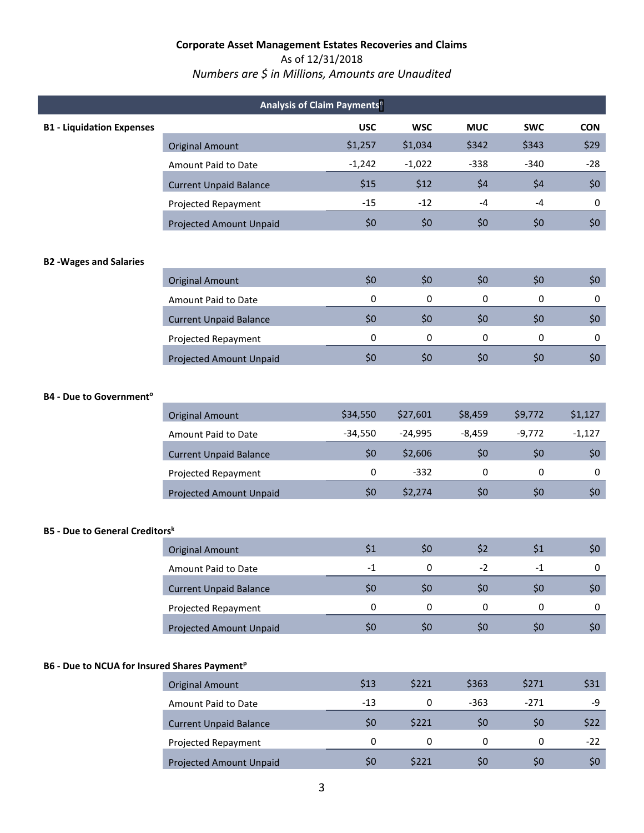# As of 12/31/2018

# *Numbers are \$ in Millions, Amounts are Unaudited*

| Analysis of Claim Payments <sup>n</sup>                  |                                |            |            |             |            |             |  |  |
|----------------------------------------------------------|--------------------------------|------------|------------|-------------|------------|-------------|--|--|
| <b>B1 - Liquidation Expenses</b>                         |                                | <b>USC</b> | <b>WSC</b> | <b>MUC</b>  | <b>SWC</b> | <b>CON</b>  |  |  |
|                                                          | <b>Original Amount</b>         | \$1,257    | \$1,034    | \$342       | \$343      | \$29        |  |  |
|                                                          | Amount Paid to Date            | $-1,242$   | $-1,022$   | $-338$      | $-340$     | $-28$       |  |  |
|                                                          | <b>Current Unpaid Balance</b>  | \$15       | \$12       | \$4         | \$4        | \$0         |  |  |
|                                                          | Projected Repayment            | $-15$      | $-12$      | $-4$        | $-4$       | 0           |  |  |
|                                                          | <b>Projected Amount Unpaid</b> | \$0        | \$0        | \$0         | \$0        | \$0\$       |  |  |
| <b>B2 - Wages and Salaries</b>                           |                                |            |            |             |            |             |  |  |
|                                                          | <b>Original Amount</b>         | \$0        | \$0        | \$0         | \$0        | \$0\$       |  |  |
|                                                          | Amount Paid to Date            | 0          | 0          | $\mathbf 0$ | 0          | 0           |  |  |
|                                                          | <b>Current Unpaid Balance</b>  | \$0        | \$0        | \$0         | \$0        | \$0\$       |  |  |
|                                                          | Projected Repayment            | 0          | 0          | 0           | 0          | $\mathbf 0$ |  |  |
|                                                          | Projected Amount Unpaid        | \$0        | \$0        | \$0         | \$0        | \$0\$       |  |  |
| <b>B4 - Due to Government<sup>o</sup></b>                |                                |            |            |             |            |             |  |  |
|                                                          | <b>Original Amount</b>         | \$34,550   | \$27,601   | \$8,459     | \$9,772    | \$1,127     |  |  |
|                                                          | Amount Paid to Date            | $-34,550$  | $-24,995$  | $-8,459$    | $-9,772$   | $-1,127$    |  |  |
|                                                          | <b>Current Unpaid Balance</b>  | \$0        | \$2,606    | \$0         | \$0        | \$0\$       |  |  |
|                                                          | Projected Repayment            | 0          | $-332$     | $\pmb{0}$   | $\pmb{0}$  | $\mathbf 0$ |  |  |
|                                                          | <b>Projected Amount Unpaid</b> | \$0        | \$2,274    | \$0         | \$0        | \$0\$       |  |  |
| <b>B5 - Due to General Creditorsk</b>                    |                                |            |            |             |            |             |  |  |
|                                                          | <b>Original Amount</b>         | \$1        | \$0        | \$2         | \$1        | \$0\$       |  |  |
|                                                          | Amount Paid to Date            | $-1$       | 0          | $-2$        | $-1$       | 0           |  |  |
|                                                          | <b>Current Unpaid Balance</b>  | \$0        | \$0        | \$0         | \$0        | \$0\$       |  |  |
|                                                          | Projected Repayment            | 0          | 0          | 0           | 0          | 0           |  |  |
|                                                          | Projected Amount Unpaid        | \$0        | \$0\$      | \$0         | \$0\$      | \$0\$       |  |  |
| B6 - Due to NCUA for Insured Shares Payment <sup>p</sup> |                                |            |            |             |            |             |  |  |
|                                                          | <b>Original Amount</b>         | \$13       | \$221      | \$363       | \$271      | \$31        |  |  |
|                                                          | Amount Paid to Date            | $-13$      | $\pmb{0}$  | $-363$      | $-271$     | -9          |  |  |
|                                                          | <b>Current Unpaid Balance</b>  | \$0        | \$221      | \$0         | \$0\$      | \$22        |  |  |
|                                                          | Projected Repayment            | 0          | $\pmb{0}$  | 0           | 0          | $-22$       |  |  |
|                                                          | Projected Amount Unpaid        | \$0        | \$221      | \$0         | \$0        | \$0\$       |  |  |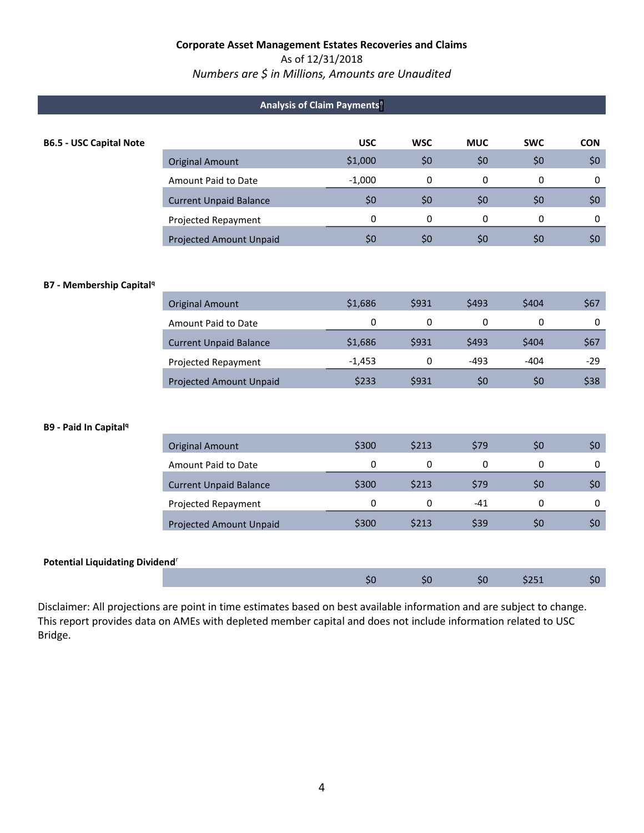### As of 12/31/2018

### *Numbers are \$ in Millions, Amounts are Unaudited*

| Analysis of Claim Payments <sup>n</sup>     |                                |            |             |            |              |             |  |  |
|---------------------------------------------|--------------------------------|------------|-------------|------------|--------------|-------------|--|--|
|                                             |                                |            |             |            |              |             |  |  |
| <b>B6.5 - USC Capital Note</b>              |                                | <b>USC</b> | <b>WSC</b>  | <b>MUC</b> | <b>SWC</b>   | <b>CON</b>  |  |  |
|                                             | <b>Original Amount</b>         | \$1,000    | \$0         | \$0        | \$0          | \$0\$       |  |  |
|                                             | Amount Paid to Date            | $-1,000$   | 0           | 0          | $\mathbf{0}$ | 0           |  |  |
|                                             | <b>Current Unpaid Balance</b>  | \$0        | \$0         | \$0        | \$0          | \$0\$       |  |  |
|                                             | Projected Repayment            | 0          | $\mathbf 0$ | 0          | $\mathbf 0$  | $\mathbf 0$ |  |  |
|                                             | <b>Projected Amount Unpaid</b> | \$0        | \$0         | \$0        | \$0          | \$0\$       |  |  |
|                                             |                                |            |             |            |              |             |  |  |
| <b>B7 - Membership Capital<sup>q</sup></b>  |                                |            |             |            |              |             |  |  |
|                                             | <b>Original Amount</b>         | \$1,686    | \$931       | \$493      | \$404        | \$67        |  |  |
|                                             | Amount Paid to Date            | 0          | 0           | 0          | 0            | $\mathbf 0$ |  |  |
|                                             | <b>Current Unpaid Balance</b>  | \$1,686    | \$931       | \$493      | \$404        | \$67        |  |  |
|                                             | Projected Repayment            | $-1,453$   | 0           | $-493$     | $-404$       | $-29$       |  |  |
|                                             | <b>Projected Amount Unpaid</b> | \$233      | \$931       | \$0        | \$0          | \$38        |  |  |
|                                             |                                |            |             |            |              |             |  |  |
| <b>B9 - Paid In Capital<sup>q</sup></b>     |                                |            |             |            |              |             |  |  |
|                                             | <b>Original Amount</b>         | \$300      | \$213       | \$79       | \$0          | \$0\$       |  |  |
|                                             | Amount Paid to Date            | 0          | 0           | 0          | $\mathbf 0$  | $\mathbf 0$ |  |  |
|                                             | <b>Current Unpaid Balance</b>  | \$300      | \$213       | \$79       | \$0          | \$0\$       |  |  |
|                                             | Projected Repayment            | 0          | 0           | $-41$      | $\mathbf 0$  | 0           |  |  |
|                                             | <b>Projected Amount Unpaid</b> | \$300      | \$213       | \$39       | \$0          | \$0\$       |  |  |
|                                             |                                |            |             |            |              |             |  |  |
| Potential Liquidating Dividend <sup>r</sup> |                                |            |             |            |              |             |  |  |
|                                             |                                | \$0        | \$0         | \$0        | \$251        | \$0         |  |  |

Disclaimer: All projections are point in time estimates based on best available information and are subject to change. This report provides data on AMEs with depleted member capital and does not include information related to USC Bridge.